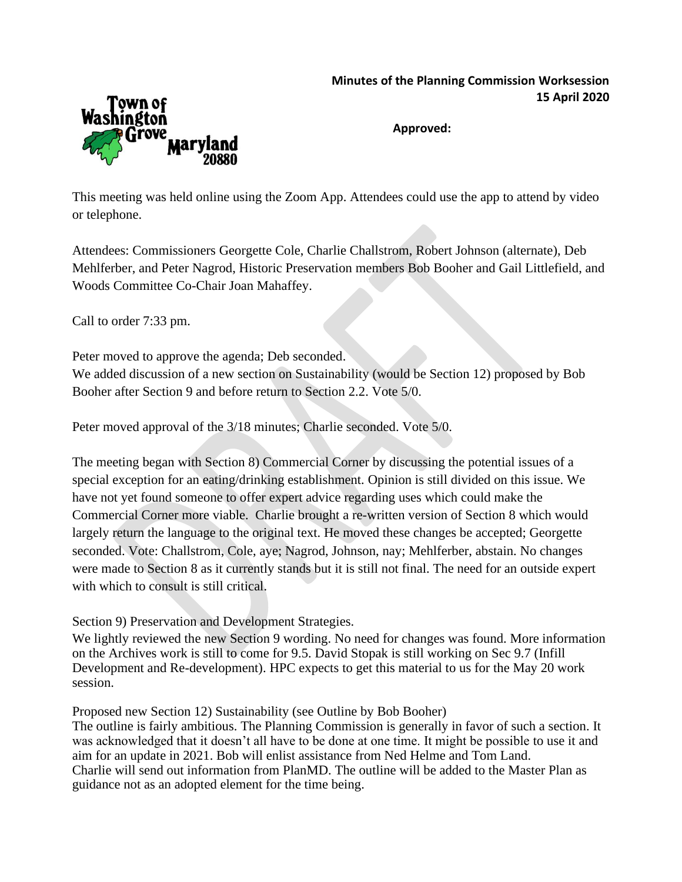## **Minutes of the Planning Commission Worksession 15 April 2020**



**Approved:**

This meeting was held online using the Zoom App. Attendees could use the app to attend by video or telephone.

Attendees: Commissioners Georgette Cole, Charlie Challstrom, Robert Johnson (alternate), Deb Mehlferber, and Peter Nagrod, Historic Preservation members Bob Booher and Gail Littlefield, and Woods Committee Co-Chair Joan Mahaffey.

Call to order 7:33 pm.

Peter moved to approve the agenda; Deb seconded. We added discussion of a new section on Sustainability (would be Section 12) proposed by Bob Booher after Section 9 and before return to Section 2.2. Vote 5/0.

Peter moved approval of the 3/18 minutes; Charlie seconded. Vote 5/0.

The meeting began with Section 8) Commercial Corner by discussing the potential issues of a special exception for an eating/drinking establishment. Opinion is still divided on this issue. We have not yet found someone to offer expert advice regarding uses which could make the Commercial Corner more viable. Charlie brought a re-written version of Section 8 which would largely return the language to the original text. He moved these changes be accepted; Georgette seconded. Vote: Challstrom, Cole, aye; Nagrod, Johnson, nay; Mehlferber, abstain. No changes were made to Section 8 as it currently stands but it is still not final. The need for an outside expert with which to consult is still critical.

Section 9) Preservation and Development Strategies.

We lightly reviewed the new Section 9 wording. No need for changes was found. More information on the Archives work is still to come for 9.5. David Stopak is still working on Sec 9.7 (Infill Development and Re-development). HPC expects to get this material to us for the May 20 work session.

Proposed new Section 12) Sustainability (see Outline by Bob Booher)

The outline is fairly ambitious. The Planning Commission is generally in favor of such a section. It was acknowledged that it doesn't all have to be done at one time. It might be possible to use it and aim for an update in 2021. Bob will enlist assistance from Ned Helme and Tom Land. Charlie will send out information from PlanMD. The outline will be added to the Master Plan as guidance not as an adopted element for the time being.